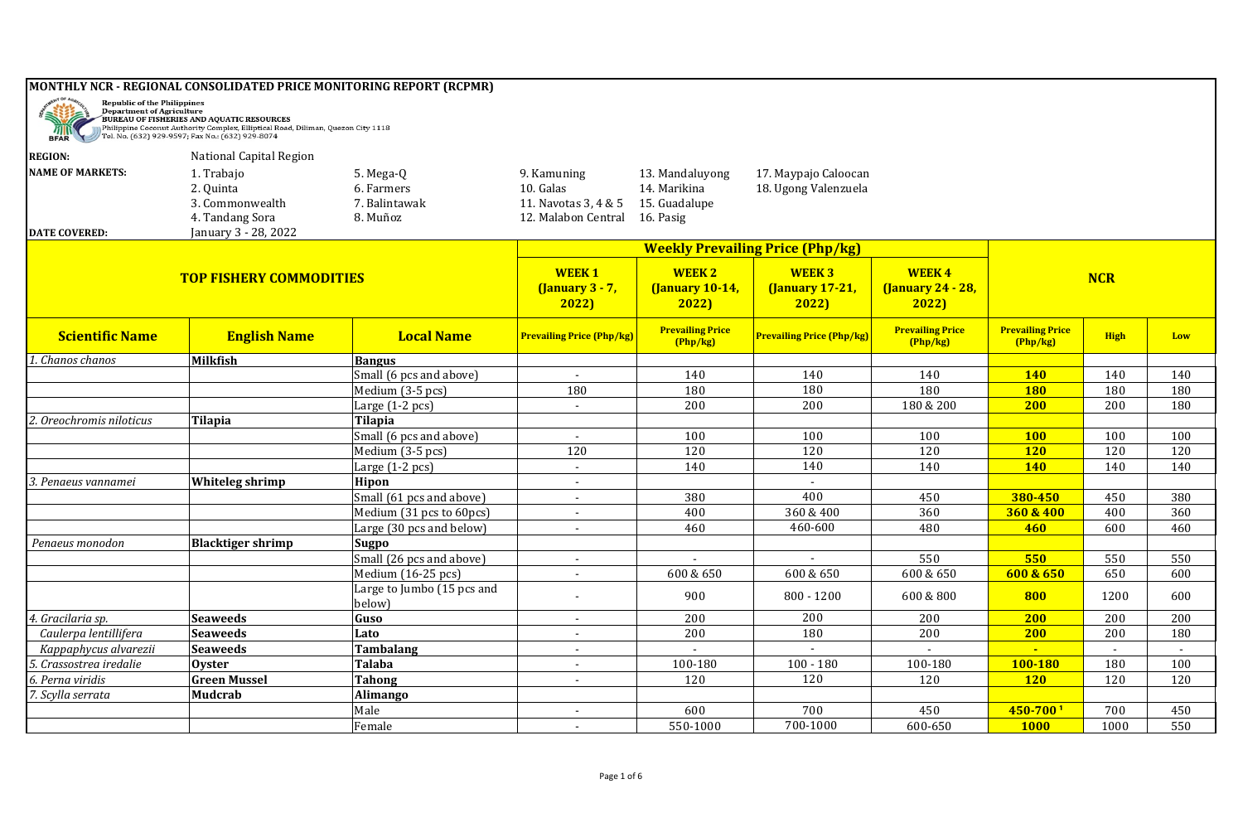

**MONTHLY NCR - REGIONAL CONSOLIDATED PRICE MONITORING REPORT (RCPMR)**<br> **Republic of the Philippines**<br> **EDIREAD OF FISHERIES AND AQUATIC RESOURCES**<br>
BUREAU OF FISHERIES AND AQUATIC RESOURCES<br>
Philippine Coconut Authority Co

| IREGION |  |
|---------|--|
|         |  |

**National Capital Region** 

| <b>NAME OF MARKETS:</b> | . Trabajo            | 5. Mega-Q     | 9. Kamuning                   | 13. Mandaluyong | 17. Maypajo Caloocan |
|-------------------------|----------------------|---------------|-------------------------------|-----------------|----------------------|
|                         | 2. Ouinta            | 5. Farmers    | 10. Galas                     | 14. Marikina    | 18. Ugong Valenzuela |
|                         | 3. Commonwealth      | 7. Balintawak |                               |                 |                      |
|                         | 4. Tandang Sora      | 3. Muñoz      | 12. Malabon Central 16. Pasig |                 |                      |
| DATE COVERED:           | January 3 - 28, 2022 |               |                               |                 |                      |

| <b>TOP FISHERY COMMODITIES</b> |                          | <b>WEEK1</b><br><b>(January 3 - 7,</b><br>2022 | <b>WEEK2</b><br><b>(January 10-14,</b><br>2022 | <b>WEEK3</b><br><b>(January 17-21,</b><br>2022 | <b>WEEK4</b><br><b>(January 24 - 28,</b><br>2022 |                                     | <b>NCR</b>                          |                          |     |
|--------------------------------|--------------------------|------------------------------------------------|------------------------------------------------|------------------------------------------------|--------------------------------------------------|-------------------------------------|-------------------------------------|--------------------------|-----|
| <b>Scientific Name</b>         | <b>English Name</b>      | <b>Local Name</b>                              | <b>Prevailing Price (Php/kg)</b>               | <b>Prevailing Price</b><br>(Php/kg)            | <b>Prevailing Price (Php/kg)</b>                 | <b>Prevailing Price</b><br>(Php/kg) | <b>Prevailing Price</b><br>(Php/kg) | <b>High</b>              | Low |
| 1. Chanos chanos               | <b>Milkfish</b>          | <b>Bangus</b>                                  |                                                |                                                |                                                  |                                     |                                     |                          |     |
|                                |                          | Small (6 pcs and above)                        | $\sim$                                         | 140                                            | 140                                              | 140                                 | <b>140</b>                          | 140                      | 140 |
|                                |                          | Medium (3-5 pcs)                               | 180                                            | 180                                            | 180                                              | 180                                 | <b>180</b>                          | 180                      | 180 |
|                                |                          | Large (1-2 pcs)                                | $\overline{\phantom{a}}$                       | 200                                            | 200                                              | 180 & 200                           | 200                                 | 200                      | 180 |
| 2. Oreochromis niloticus       | Tilapia                  | Tilapia                                        |                                                |                                                |                                                  |                                     |                                     |                          |     |
|                                |                          | Small (6 pcs and above)                        | $\sim$                                         | 100                                            | 100                                              | 100                                 | <b>100</b>                          | 100                      | 100 |
|                                |                          | Medium (3-5 pcs)                               | 120                                            | 120                                            | 120                                              | 120                                 | <b>120</b>                          | 120                      | 120 |
|                                |                          | Large (1-2 pcs)                                | $\sim$                                         | 140                                            | 140                                              | 140                                 | <b>140</b>                          | 140                      | 140 |
| 3. Penaeus vannamei            | Whiteleg shrimp          | Hipon                                          | $\sim$                                         |                                                | $\overline{\phantom{a}}$                         |                                     |                                     |                          |     |
|                                |                          | Small (61 pcs and above)                       | $\sim$                                         | 380                                            | 400                                              | 450                                 | 380-450                             | 450                      | 380 |
|                                |                          | Medium (31 pcs to 60pcs)                       |                                                | 400                                            | 360 & 400                                        | 360                                 | 360 & 400                           | 400                      | 360 |
|                                |                          | Large (30 pcs and below)                       | $\sim$                                         | 460                                            | 460-600                                          | 480                                 | 460                                 | 600                      | 460 |
| Penaeus monodon                | <b>Blacktiger shrimp</b> | <b>Sugpo</b>                                   |                                                |                                                |                                                  |                                     |                                     |                          |     |
|                                |                          | Small (26 pcs and above)                       | $\sim$                                         |                                                | $\overline{\phantom{a}}$                         | 550                                 | 550                                 | 550                      | 550 |
|                                |                          | Medium (16-25 pcs)                             | $\sim$                                         | 600 & 650                                      | 600 & 650                                        | 600 & 650                           | 600 & 650                           | 650                      | 600 |
|                                |                          | Large to Jumbo (15 pcs and<br>below)           |                                                | 900                                            | $800 - 1200$                                     | 600 & 800                           | 800                                 | 1200                     | 600 |
| 4. Gracilaria sp.              | <b>Seaweeds</b>          | Guso                                           | $\sim$                                         | 200                                            | 200                                              | 200                                 | 200                                 | 200                      | 200 |
| Caulerpa lentillifera          | <b>Seaweeds</b>          | Lato                                           | $\overline{\phantom{a}}$                       | 200                                            | 180                                              | 200                                 | 200                                 | 200                      | 180 |
| Kappaphycus alvarezii          | <b>Seaweeds</b>          | <b>Tambalang</b>                               | $\sim$                                         |                                                |                                                  |                                     | $\sim$                              | $\overline{\phantom{a}}$ |     |
| Crassostrea iredalie           | <b>Oyster</b>            | <b>Talaba</b>                                  | $\overline{\phantom{a}}$                       | 100-180                                        | $100 - 180$                                      | 100-180                             | 100-180                             | 180                      | 100 |
| 6. Perna viridis               | <b>Green Mussel</b>      | <b>Tahong</b>                                  | $\sim$                                         | 120                                            | 120                                              | 120                                 | <b>120</b>                          | 120                      | 120 |
| 7. Scylla serrata              | <b>Mudcrab</b>           | Alimango                                       |                                                |                                                |                                                  |                                     |                                     |                          |     |
|                                |                          | Male                                           | $\overline{\phantom{a}}$                       | 600                                            | 700                                              | 450                                 | 450-7001                            | 700                      | 450 |
|                                |                          | Female                                         | $\blacksquare$                                 | 550-1000                                       | 700-1000                                         | 600-650                             | <b>1000</b>                         | 1000                     | 550 |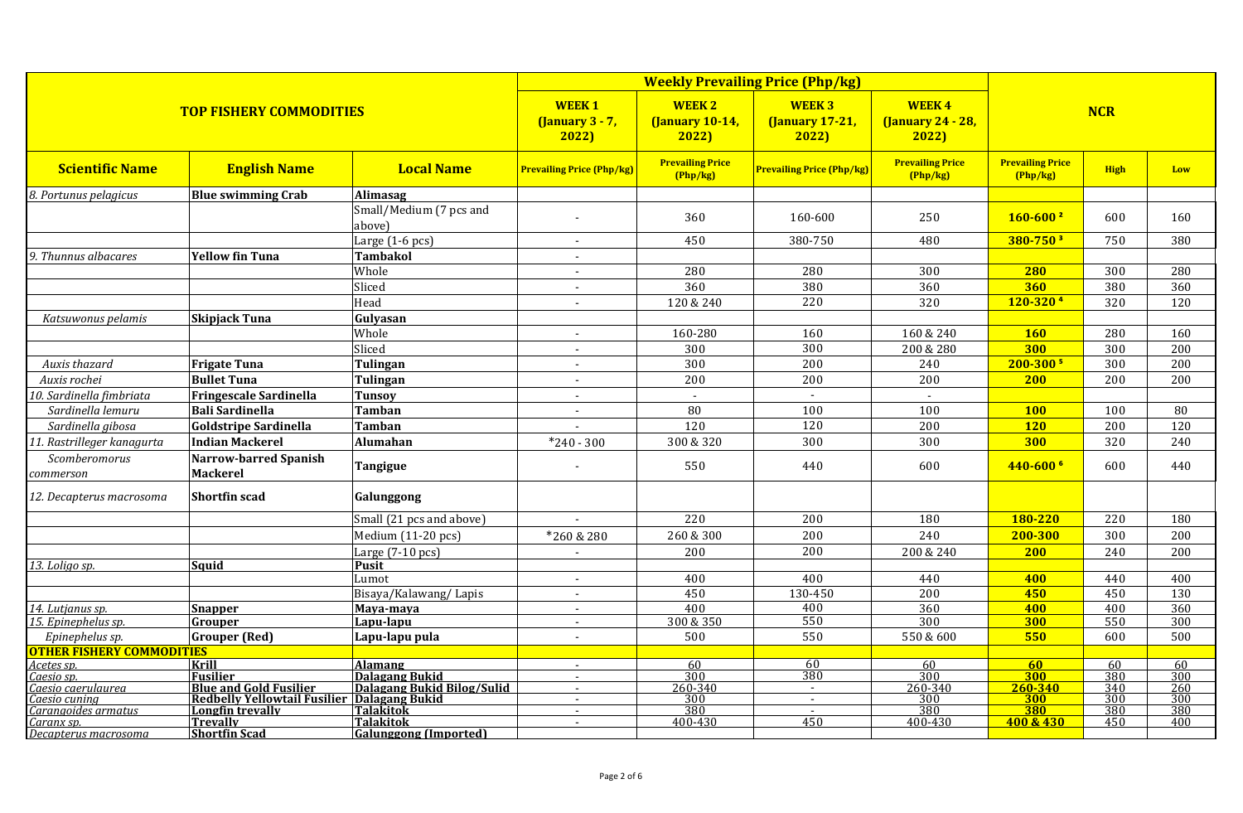|                                    | <b>TOP FISHERY COMMODITIES</b>                     |                                      | <b>WEEK1</b><br><b>(January 3 - 7,</b><br>2022 | <b>WEEK2</b><br>(January 10-14,<br>2022 | <b>WEEK3</b><br><b>(January 17-21,</b><br>2022) | <b>WEEK4</b><br><b>(January 24 - 28,</b><br>2022 |                                   | <b>NCR</b>  |            |
|------------------------------------|----------------------------------------------------|--------------------------------------|------------------------------------------------|-----------------------------------------|-------------------------------------------------|--------------------------------------------------|-----------------------------------|-------------|------------|
| <b>Scientific Name</b>             | <b>English Name</b>                                | <b>Local Name</b>                    | <b>Prevailing Price (Php/kg)</b>               | <b>Prevailing Price</b><br>(Php/kg)     | <b>Prevailing Price (Php/kg)</b>                | <b>Prevailing Price</b><br>(Php/kg)              | <b>Prevailing Price</b><br>Php/kg | <b>High</b> | Low        |
| 8. Portunus pelagicus              | <b>Blue swimming Crab</b>                          | Alimasag                             |                                                |                                         |                                                 |                                                  |                                   |             |            |
|                                    |                                                    | Small/Medium (7 pcs and<br>above)    | $\blacksquare$                                 | 360                                     | 160-600                                         | 250                                              | $160 - 600^2$                     | 600         | 160        |
|                                    |                                                    | Large (1-6 pcs)                      | $\blacksquare$                                 | 450                                     | 380-750                                         | 480                                              | $380 - 750$ <sup>3</sup>          | 750         | 380        |
| 9. Thunnus albacares               | Yellow fin Tuna                                    | <b>Tambakol</b>                      |                                                |                                         |                                                 |                                                  |                                   |             |            |
|                                    |                                                    | Whole                                | $\sim$                                         | 280                                     | 280                                             | 300                                              | 280                               | 300         | 280        |
|                                    |                                                    | Sliced                               | $\sim$                                         | 360                                     | 380                                             | 360                                              | 360                               | 380         | 360        |
|                                    |                                                    | Head                                 | $\blacksquare$                                 | 120 & 240                               | 220                                             | 320                                              | $120 - 320$ <sup>4</sup>          | 320         | 120        |
| Katsuwonus pelamis                 | <b>Skipjack Tuna</b>                               | Gulyasan                             |                                                |                                         |                                                 |                                                  |                                   |             |            |
|                                    |                                                    | Whole                                | $\blacksquare$                                 | 160-280                                 | 160                                             | 160 & 240                                        | <b>160</b>                        | 280         | 160        |
|                                    |                                                    | Sliced                               | $\mathbf{r}$                                   | 300                                     | 300                                             | 200 & 280                                        | 300                               | 300         | 200        |
| Auxis thazard                      | <b>Frigate Tuna</b>                                | <b>Tulingan</b>                      | $\overline{\phantom{a}}$                       | 300                                     | 200                                             | 240                                              | $200 - 300$ <sup>5</sup>          | 300         | 200        |
| Auxis rochei                       | <b>Bullet Tuna</b>                                 | Tulingan                             | $\blacksquare$                                 | 200                                     | $\overline{200}$                                | 200                                              | 200                               | 200         | 200        |
| 10. Sardinella fimbriata           | <b>Fringescale Sardinella</b>                      | Tunsov                               | $\blacksquare$                                 | $\mathbf{r}$                            | $\overline{\phantom{a}}$                        |                                                  |                                   |             |            |
| Sardinella lemuru                  | <b>Bali Sardinella</b>                             | <b>Tamban</b>                        | $\blacksquare$                                 | 80                                      | 100                                             | 100                                              | <b>100</b>                        | 100         | 80         |
| Sardinella gibosa                  | Goldstripe Sardinella                              | <b>Tamban</b>                        |                                                | 120                                     | 120                                             | 200                                              | <b>120</b>                        | 200         | 120        |
| 11. Rastrilleger kanagurta         | <b>Indian Mackerel</b>                             | Alumahan                             | $*240 - 300$                                   | 300 & 320                               | 300                                             | 300                                              | 300                               | 320         | 240        |
| Scomberomorus<br>commerson         | Narrow-barred Spanish<br><b>Mackerel</b>           | <b>Tangigue</b>                      |                                                | 550                                     | 440                                             | 600                                              | $440 - 600$ <sup>6</sup>          | 600         | 440        |
| 12. Decapterus macrosoma           | <b>Shortfin scad</b>                               | Galunggong                           |                                                |                                         |                                                 |                                                  |                                   |             |            |
|                                    |                                                    | Small (21 pcs and above)             | $\sim$                                         | 220                                     | 200                                             | 180                                              | 180-220                           | 220         | 180        |
|                                    |                                                    | Medium (11-20 pcs)                   | *260 & 280                                     | 260 & 300                               | 200                                             | 240                                              | 200-300                           | 300         | 200        |
|                                    |                                                    | Large $(7-10$ pcs)                   |                                                | 200                                     | 200                                             | 200 & 240                                        | 200                               | 240         | 200        |
| 13. Loligo sp.                     | <b>Squid</b>                                       | <b>Pusit</b>                         |                                                |                                         |                                                 |                                                  |                                   |             |            |
|                                    |                                                    | Lumot                                | $\sim$                                         | 400                                     | 400                                             | 440                                              | 400                               | 440         | 400        |
|                                    |                                                    | Bisaya/Kalawang/Lapis                | $\blacksquare$                                 | 450                                     | 130-450                                         | 200                                              | 450                               | 450         | 130        |
| 14. Lutjanus sp.                   | <b>Snapper</b>                                     | Maya-maya                            | $\sim$                                         | 400                                     | 400                                             | 360                                              | 400                               | 400         | 360        |
| 15. Epinephelus sp.                | Grouper                                            | Lapu-lapu                            | $\sim$                                         | 300 & 350                               | 550                                             | 300                                              | 300                               | 550         | 300        |
| Epinephelus sp.                    | <b>Grouper</b> (Red)                               | Lapu-lapu pula                       | $\sim$                                         | 500                                     | 550                                             | 550 & 600                                        | 550                               | 600         | 500        |
| <b>OTHER FISHERY COMMODITIES</b>   |                                                    |                                      |                                                |                                         |                                                 |                                                  |                                   |             |            |
| Acetes sp.<br>Caesio sp.           | Krill<br><b>Fusilier</b>                           | <b>Alamang</b><br> Dalagang Bukid    | $\sim$                                         | 60<br>300                               | 60<br>380                                       | 60<br>300                                        | 60<br>300                         | 60<br>380   | 60<br>300  |
| Caesio caerulaurea                 | <b>Blue and Gold Fusilier</b>                      | Dalagang Bukid Bilog/Sulid           | $\sim$                                         | 260-340                                 | $\sim$                                          | 260-340                                          | 260-340                           | 340         | 260        |
| Caesio cuning                      | <b>Redbelly Yellowtail Fusilier Dalagang Bukid</b> |                                      | $\sim$                                         | 300                                     | $\sim$                                          | 300                                              | <b>300</b>                        | 300         | 300        |
| Carangoides armatus                | Longfin trevally<br><b>Trevally</b>                | <b>Talakitok</b><br><b>Talakitok</b> | $\sim$<br>$\sim$                               | 380<br>400-430                          | $\overline{\phantom{a}}$<br>450                 | 380<br>400-430                                   | 380<br>400 & 430                  | 380<br>450  | 380<br>400 |
| Caranx sp.<br>Decapterus macrosoma | <b>Shortfin Scad</b>                               | <b>Galunggong (Imported)</b>         |                                                |                                         |                                                 |                                                  |                                   |             |            |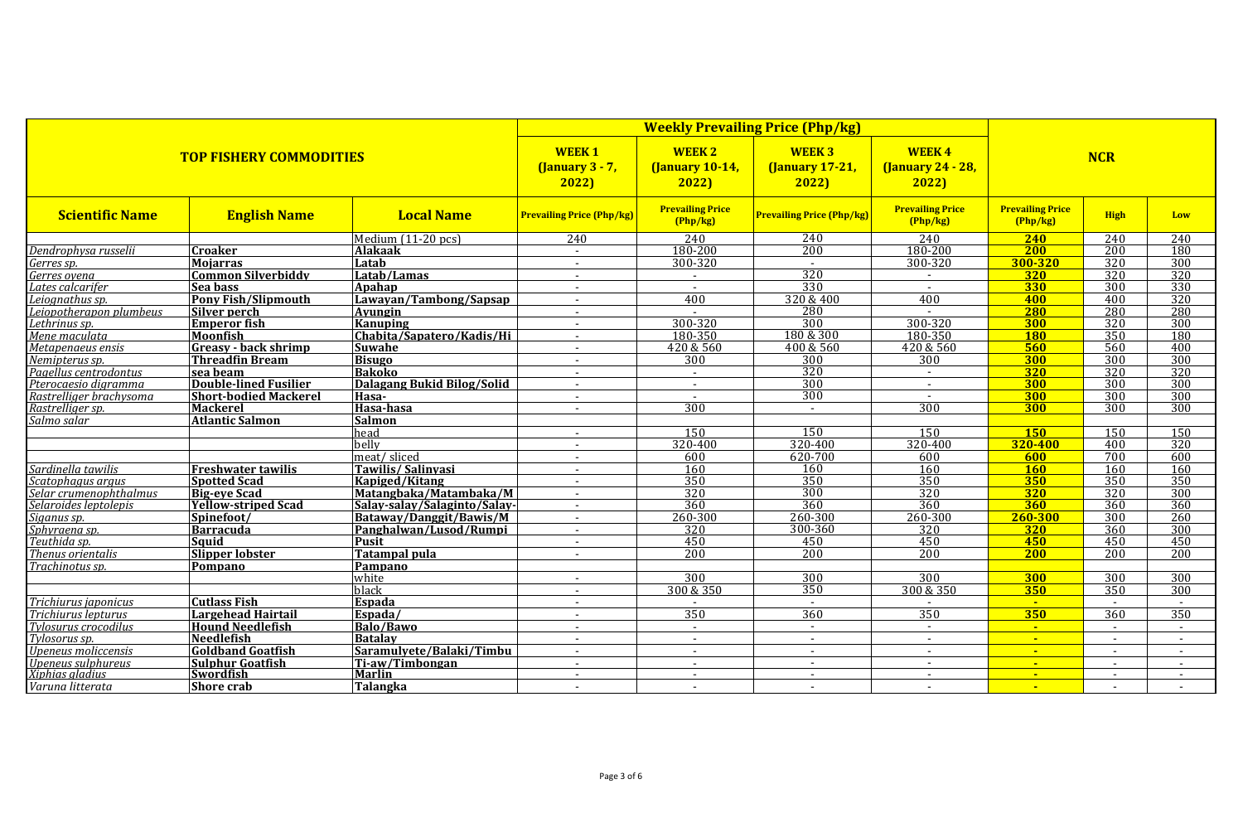|                                                                                                                        |                                | <b>Weekly Prevailing Price (Php/kg)</b> |                                  |                                          |                                                |                                                  |                                     |                          |                          |
|------------------------------------------------------------------------------------------------------------------------|--------------------------------|-----------------------------------------|----------------------------------|------------------------------------------|------------------------------------------------|--------------------------------------------------|-------------------------------------|--------------------------|--------------------------|
|                                                                                                                        | <b>TOP FISHERY COMMODITIES</b> |                                         |                                  | <b>WEEK 2</b><br>(January 10-14,<br>2022 | <b>WEEK3</b><br><b>(January 17-21,</b><br>2022 | <b>WEEK4</b><br><b>(January 24 - 28,</b><br>2022 |                                     | <b>NCR</b>               |                          |
| <b>Scientific Name</b>                                                                                                 | <b>English Name</b>            | <b>Local Name</b>                       | <b>Prevailing Price (Php/kg)</b> | <b>Prevailing Price</b><br>(Php/kg)      | <b>Prevailing Price (Php/kg)</b>               | <b>Prevailing Price</b><br>(Php/kg)              | <b>Prevailing Price</b><br>(Php/kg) | <b>High</b>              | Low                      |
|                                                                                                                        |                                | Medium $(11-20$ pcs)                    | 240                              | 240                                      | 240                                            | 240                                              | <b>240</b>                          | 240                      | 240                      |
| Dendrophysa russelii                                                                                                   | <b>Croaker</b>                 | <b>Alakaak</b>                          | $\sim$                           | 180-200                                  | 200                                            | 180-200                                          | $\overline{200}$                    | 200                      | 180                      |
| Gerres sp.                                                                                                             | <b>Mojarras</b>                | Latab                                   | $\sim$                           | $300 - 320$                              | $\sim$                                         | 300-320                                          | 300-320                             | 320                      | 300                      |
| Gerres oyena                                                                                                           | <b>Common Silverbiddy</b>      | Latab/Lamas                             | $\sim$                           | $\sim$                                   | 320                                            | $\sim$                                           | 320                                 | 320                      | 320                      |
| Lates calcarifer                                                                                                       | Sea bass                       | Apahap                                  | $\sim$                           | $\sim$                                   | 330                                            | $\sim$                                           | <b>330</b>                          | 300                      | 330                      |
| Leiognathus sp.                                                                                                        | Pony Fish/Slipmouth            | Lawayan/Tambong/Sapsap                  |                                  | 400                                      | 320 & 400                                      | 400                                              | 400                                 | 400                      | 320                      |
| Leiopotherapon plumbeus                                                                                                | Silver perch                   | Avungin                                 | $\overline{a}$                   |                                          | 280                                            |                                                  | 280                                 | 280                      | 280                      |
| Lethrinus sp.                                                                                                          | <b>Emperor</b> fish            | <b>Kanuping</b>                         | $\overline{\phantom{a}}$         | 300-320                                  | 300                                            | 300-320                                          | <b>300</b>                          | 320                      | 300                      |
| Mene maculata                                                                                                          | <b>Moonfish</b>                | Chabita/Sapatero/Kadis/Hi               | $\sim$                           | 180-350                                  | 180 & 300                                      | 180-350                                          | <b>180</b>                          | 350                      | 180                      |
| Metapenaeus ensis                                                                                                      | <b>Greasy</b> - back shrimp    | <b>Suwahe</b>                           | $\sim$                           | 420 & 560                                | 400 & 560                                      | 420 & 560                                        | 560                                 | 560                      | 400                      |
| Nemipterus sp.                                                                                                         | <b>Threadfin Bream</b>         | <b>Bisugo</b>                           | $\overline{a}$                   | 300                                      | 300                                            | 300                                              | <b>300</b>                          | 300                      | 300                      |
|                                                                                                                        | sea beam                       | <b>Bakoko</b>                           | $\overline{a}$                   | $\sim$                                   | 320                                            | $\sim$                                           | <b>320</b>                          | 320                      | 320                      |
| <i>Fragellus centrodontus</i><br>Pterocaesio digramma<br>Rastrelliger brachysoma                                       | <b>Double-lined Fusilier</b>   | <b>Dalagang Bukid Bilog/Solid</b>       | $\sim$                           | $\overline{\phantom{a}}$                 | 300                                            |                                                  | 300                                 | 300                      | 300                      |
|                                                                                                                        | <b>Short-bodied Mackerel</b>   | Hasa-                                   | $\sim$                           |                                          | 300                                            |                                                  | 300                                 | 300                      | 300                      |
| Rastrelliger sp.<br>Salmo salar                                                                                        | <b>Mackerel</b>                | Hasa-hasa                               | $\overline{a}$                   | 300                                      | $\blacksquare$                                 | 300                                              | 300                                 | 300                      | $\overline{300}$         |
|                                                                                                                        | <b>Atlantic Salmon</b>         | Salmon                                  |                                  |                                          |                                                |                                                  |                                     |                          |                          |
|                                                                                                                        |                                | head                                    | $\overline{a}$                   | $\overline{150}$                         | 150                                            | 150                                              | 150                                 | 150                      | 150                      |
|                                                                                                                        |                                | belly                                   | $\sim$                           | 320-400                                  | 320-400                                        | 320-400                                          | 320-400                             | 400                      | 320                      |
|                                                                                                                        |                                | meat/sliced                             | $\overline{a}$                   | 600                                      | 620-700                                        | 600                                              | 600                                 | 700                      | 600                      |
| Sardinella tawilis                                                                                                     | <b>Freshwater tawilis</b>      | Tawilis/Salinyasi                       | $\sim$                           | 160                                      | 160                                            | 160                                              | 160                                 | 160                      | $\overline{160}$         |
| <u>Scatophagus argus<br/>Scatophagus argus<br/>Selar crumenophthalmus<br/>Selaroides leptolepis</u>                    | <b>Spotted Scad</b>            | Kapiged/Kitang                          | $\overline{a}$                   | 350                                      | 350                                            | 350                                              | 350                                 | 350                      | 350                      |
|                                                                                                                        | <b>Big-eve Scad</b>            | Matangbaka/Matambaka/M                  | $\overline{a}$                   | 320                                      | 300                                            | 320                                              | 320                                 | 320                      | 300                      |
|                                                                                                                        | <b>Yellow-striped Scad</b>     | Salay-salay/Salaginto/Salay-            | $\sim$                           | 360                                      | 360                                            | 360                                              | 360                                 | 360                      | 360                      |
|                                                                                                                        | Spinefoot/                     | Bataway/Danggit/Bawis/M                 | $\sim$                           | 260-300                                  | 260-300                                        | 260-300                                          | 260-300                             | 300                      | 260                      |
| Siganus sp.<br>Sphyraena sp.                                                                                           | <b>Barracuda</b>               | Panghalwan/Lusod/Rumpi                  | $\sim$                           | 320                                      | 300-360                                        | 320                                              | 320                                 | 360                      | 300                      |
|                                                                                                                        | Sauid                          | <b>Pusit</b>                            | $\overline{a}$                   | 450                                      | 450                                            | 450                                              | 450                                 | 450                      | 450                      |
| <i>Teuthida sp.</i><br>Teuthida sp.<br>Thenus orientalis<br>Trachinotus sp.                                            | <b>Slipper lobster</b>         | <b>Tatampal pula</b>                    | $\overline{a}$                   | 200                                      | $\overline{200}$                               | 200                                              | 200                                 | 200                      | $\overline{200}$         |
|                                                                                                                        | Pompano                        | Pampano                                 |                                  |                                          |                                                |                                                  |                                     |                          |                          |
|                                                                                                                        |                                | white                                   | $\overline{\phantom{a}}$         | 300                                      | 300                                            | 300                                              | <b>300</b>                          | 300                      | 300                      |
|                                                                                                                        |                                | black                                   | $\overline{a}$                   | 300 & 350                                | 350                                            | 300 & 350                                        | 350                                 | 350                      | 300                      |
|                                                                                                                        | <b>Cutlass Fish</b>            | Espada                                  | $\overline{a}$                   |                                          | $\sim$                                         |                                                  | $\sim$                              | $\sim$                   | $\overline{\phantom{a}}$ |
| Trichiurus japonicus<br>Trichiurus lepturus                                                                            | <b>Largehead Hairtail</b>      | Espada/                                 | $\sim$                           | 350                                      | 360                                            | 350                                              | 350                                 | 360                      | 350                      |
|                                                                                                                        | <b>Hound Needlefish</b>        | Balo/Bawo                               | $\overline{a}$                   | $\sim$                                   | $\sim$                                         | $\sim$                                           | $\sim$                              | $\overline{\phantom{a}}$ | $\sim$                   |
| <i>Tylosurus crocodilus</i><br>Tylosarus crocodilus                                                                    | <b>Needlefish</b>              | <b>Batalav</b>                          | $\sim$                           | $\overline{\phantom{a}}$                 | $\overline{a}$                                 | $\sim$                                           | $\sim$                              | $\blacksquare$           |                          |
|                                                                                                                        | <b>Goldband Goatfish</b>       | Saramulyete/Balaki/Timbu                | $\sim$                           |                                          | $\overline{\phantom{a}}$                       | $\sim$                                           | $\sim$                              | $\blacksquare$           | $\sim$                   |
|                                                                                                                        | <b>Sulphur Goatfish</b>        | Ti-aw/Timbongan                         | $\overline{\phantom{a}}$         | $\overline{a}$                           | $\overline{a}$                                 |                                                  | ÷                                   | $\overline{\phantom{a}}$ | $\overline{a}$           |
|                                                                                                                        | Swordfish                      | <b>Marlin</b>                           | $\sim$                           | $\overline{\phantom{a}}$                 | $\overline{\phantom{a}}$                       |                                                  | $\blacksquare$                      |                          | $\overline{\phantom{0}}$ |
| <i><u><b>Tylosotas sp.</b></u></i><br>Upeneus moliccensis<br>Upeneus sulphureus<br>Xiphias aladius<br>Varuna litterata | <b>Shore crab</b>              | Talangka                                | $\sim$                           | $\overline{\phantom{a}}$                 | $\blacksquare$                                 |                                                  | ÷                                   |                          |                          |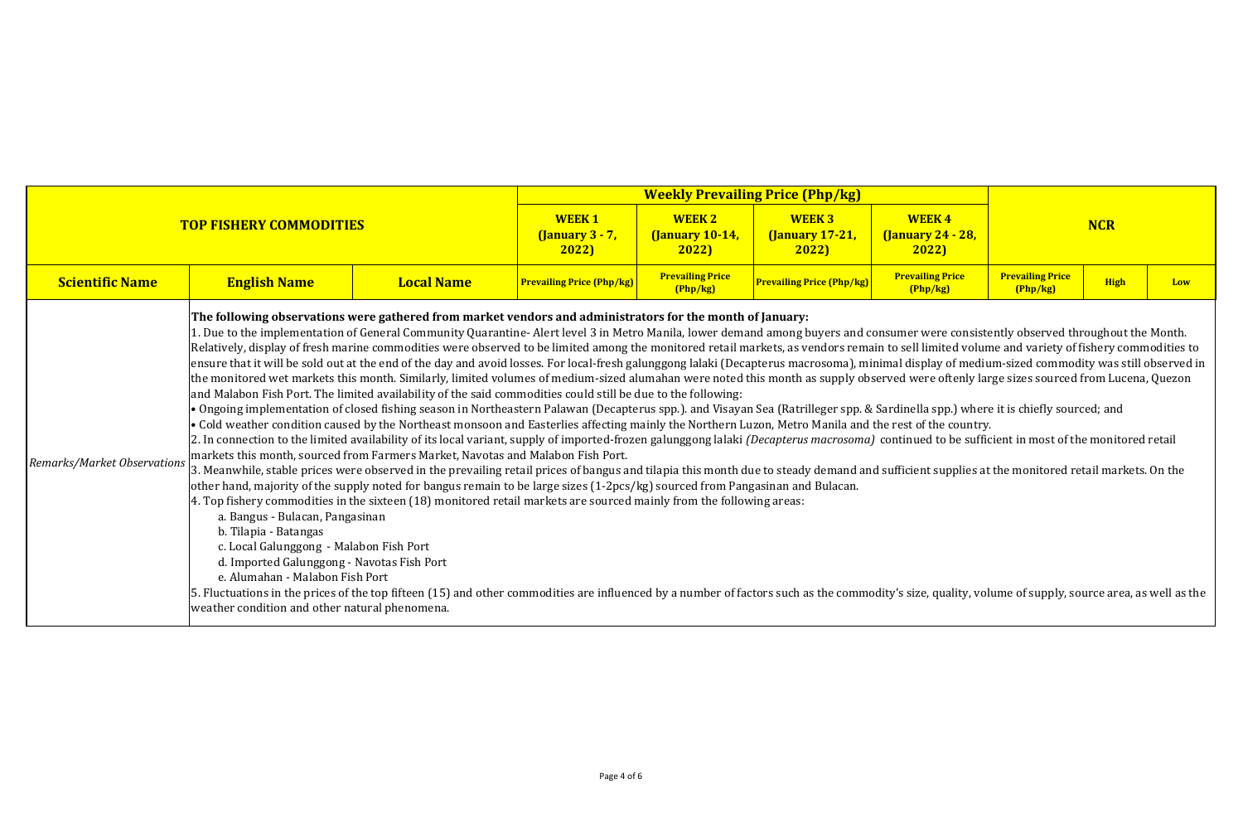|                             |                                                                                                                                                                                                                                                                                                                                                                                                                                                                                                                                                                                                                                                                                                                                                                                                                                                                                                                                                                                                                                                                                                                                                                                                                                                                                                                                                                                                                                                                                                                                                                                                                                                                                                                                                                                                                                                                                                                                                                                                                                                                                                                                                                                                                                                                                                                                                                                                                                                                                                                                                                            |                   |                                            | <b>Weekly Prevailing Price (Php/kg)</b>   |                                                       |                                                   |                                     |                    |  |  |
|-----------------------------|----------------------------------------------------------------------------------------------------------------------------------------------------------------------------------------------------------------------------------------------------------------------------------------------------------------------------------------------------------------------------------------------------------------------------------------------------------------------------------------------------------------------------------------------------------------------------------------------------------------------------------------------------------------------------------------------------------------------------------------------------------------------------------------------------------------------------------------------------------------------------------------------------------------------------------------------------------------------------------------------------------------------------------------------------------------------------------------------------------------------------------------------------------------------------------------------------------------------------------------------------------------------------------------------------------------------------------------------------------------------------------------------------------------------------------------------------------------------------------------------------------------------------------------------------------------------------------------------------------------------------------------------------------------------------------------------------------------------------------------------------------------------------------------------------------------------------------------------------------------------------------------------------------------------------------------------------------------------------------------------------------------------------------------------------------------------------------------------------------------------------------------------------------------------------------------------------------------------------------------------------------------------------------------------------------------------------------------------------------------------------------------------------------------------------------------------------------------------------------------------------------------------------------------------------------------------------|-------------------|--------------------------------------------|-------------------------------------------|-------------------------------------------------------|---------------------------------------------------|-------------------------------------|--------------------|--|--|
|                             | <b>TOP FISHERY COMMODITIES</b>                                                                                                                                                                                                                                                                                                                                                                                                                                                                                                                                                                                                                                                                                                                                                                                                                                                                                                                                                                                                                                                                                                                                                                                                                                                                                                                                                                                                                                                                                                                                                                                                                                                                                                                                                                                                                                                                                                                                                                                                                                                                                                                                                                                                                                                                                                                                                                                                                                                                                                                                             |                   | <b>WEEK1</b><br>$(January 3 - 7,$<br>2022) | <b>WEEK 2</b><br>(January 10-14,<br>2022) | <b>WEEK3</b><br><b>(January 17-21,</b><br><b>2022</b> | <b>WEEK4</b><br><b>(January 24 - 28,</b><br>2022) | <b>NCR</b>                          |                    |  |  |
| <b>Scientific Name</b>      | <b>English Name</b>                                                                                                                                                                                                                                                                                                                                                                                                                                                                                                                                                                                                                                                                                                                                                                                                                                                                                                                                                                                                                                                                                                                                                                                                                                                                                                                                                                                                                                                                                                                                                                                                                                                                                                                                                                                                                                                                                                                                                                                                                                                                                                                                                                                                                                                                                                                                                                                                                                                                                                                                                        | <b>Local Name</b> | <b>Prevailing Price (Php/kg)</b>           | <b>Prevailing Price</b><br>(Php/kg)       | <b>Prevailing Price (Php/kg)</b>                      | <b>Prevailing Price</b><br>(Php/kg)               | <b>Prevailing Price</b><br>(Php/kg) | <b>High</b><br>Low |  |  |
| Remarks/Market Observations | The following observations were gathered from market vendors and administrators for the month of January:<br>1. Due to the implementation of General Community Quarantine- Alert level 3 in Metro Manila, lower demand among buyers and consumer were consistently observed throughout the Month.<br>Relatively, display of fresh marine commodities were observed to be limited among the monitored retail markets, as vendors remain to sell limited volume and variety of fishery commodities to<br>ensure that it will be sold out at the end of the day and avoid losses. For local-fresh galunggong lalaki (Decapterus macrosoma), minimal display of medium-sized commodity was still observed in<br>the monitored wet markets this month. Similarly, limited volumes of medium-sized alumahan were noted this month as supply observed were oftenly large sizes sourced from Lucena, Quezon<br>and Malabon Fish Port. The limited availability of the said commodities could still be due to the following:<br>· Ongoing implementation of closed fishing season in Northeastern Palawan (Decapterus spp.). and Visayan Sea (Ratrilleger spp. & Sardinella spp.) where it is chiefly sourced; and<br>. Cold weather condition caused by the Northeast monsoon and Easterlies affecting mainly the Northern Luzon, Metro Manila and the rest of the country.<br>2. In connection to the limited availability of its local variant, supply of imported-frozen galunggong lalaki (Decapterus macrosoma) continued to be sufficient in most of the monitored retail<br>markets this month, sourced from Farmers Market, Navotas and Malabon Fish Port.<br>3. Meanwhile, stable prices were observed in the prevailing retail prices of bangus and tilapia this month due to steady demand and sufficient supplies at the monitored retail markets. On the<br>other hand, majority of the supply noted for bangus remain to be large sizes (1-2pcs/kg) sourced from Pangasinan and Bulacan.<br>4. Top fishery commodities in the sixteen (18) monitored retail markets are sourced mainly from the following areas:<br>a. Bangus - Bulacan, Pangasinan<br>b. Tilapia - Batangas<br>c. Local Galunggong - Malabon Fish Port<br>d. Imported Galunggong - Navotas Fish Port<br>e. Alumahan - Malabon Fish Port<br>5. Fluctuations in the prices of the top fifteen (15) and other commodities are influenced by a number of factors such as the commodity's size, quality, volume of supply, source area, as well as the<br>weather condition and other natural phenomena. |                   |                                            |                                           |                                                       |                                                   |                                     |                    |  |  |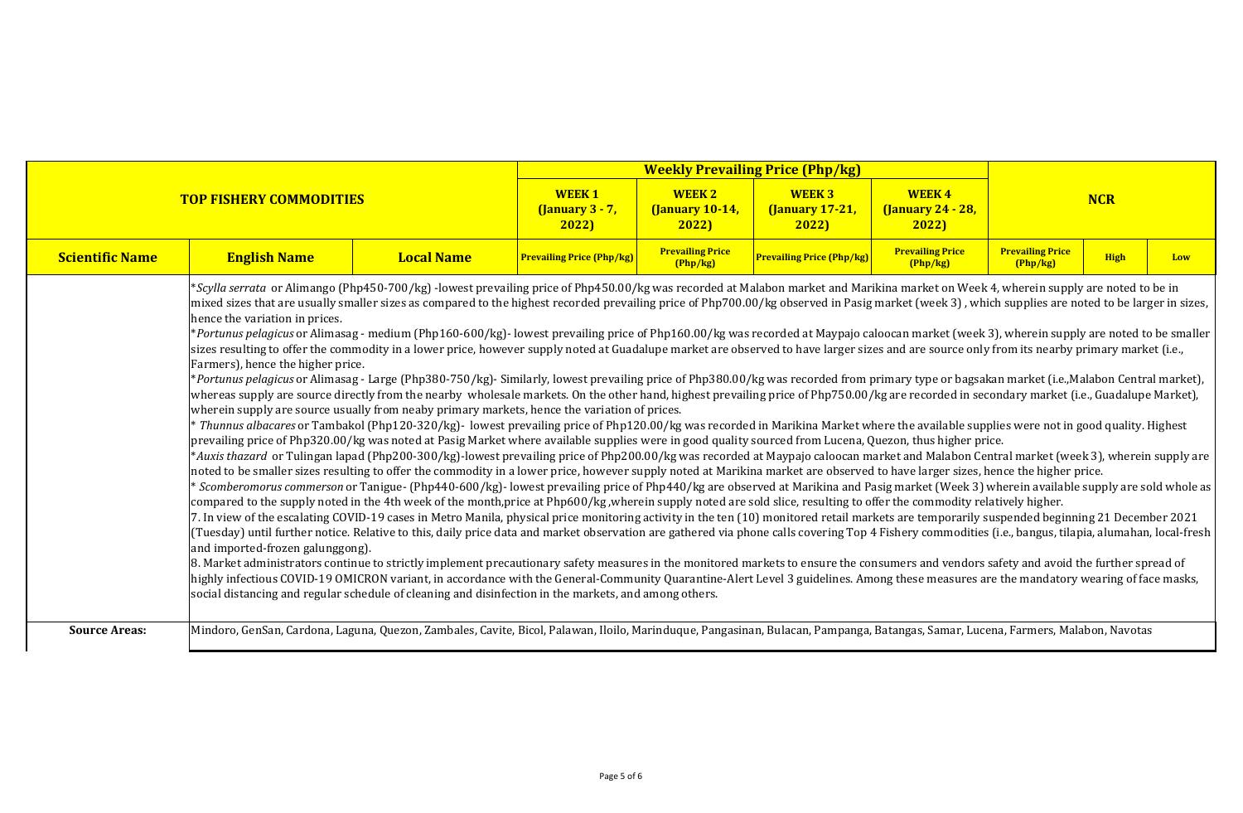|                        |                                                                                                                                                                                                                                                                                                                                                                                                                                                                                                                                                                                                                                                                                                                                                                                                                                                                                                                                                                                                                                                                                                                                                                                                                                                                                                                                                                                                                                                                                                                                                                                                                                                                                                                                                                                                                                                                                                                                                                                                                                                                                                                                                                                                                                                                                                                                                                                                                                                                                                                                                                                                                                                                                                                                                                                                                                                                                                                                                                                                                                                                                                                                                                                                                                                                                                                                                                                                                                |                   |                                                | <b>Weekly Prevailing Price (Php/kg)</b>  |                                                |                                                   |                                                    |  |  |  |  |
|------------------------|--------------------------------------------------------------------------------------------------------------------------------------------------------------------------------------------------------------------------------------------------------------------------------------------------------------------------------------------------------------------------------------------------------------------------------------------------------------------------------------------------------------------------------------------------------------------------------------------------------------------------------------------------------------------------------------------------------------------------------------------------------------------------------------------------------------------------------------------------------------------------------------------------------------------------------------------------------------------------------------------------------------------------------------------------------------------------------------------------------------------------------------------------------------------------------------------------------------------------------------------------------------------------------------------------------------------------------------------------------------------------------------------------------------------------------------------------------------------------------------------------------------------------------------------------------------------------------------------------------------------------------------------------------------------------------------------------------------------------------------------------------------------------------------------------------------------------------------------------------------------------------------------------------------------------------------------------------------------------------------------------------------------------------------------------------------------------------------------------------------------------------------------------------------------------------------------------------------------------------------------------------------------------------------------------------------------------------------------------------------------------------------------------------------------------------------------------------------------------------------------------------------------------------------------------------------------------------------------------------------------------------------------------------------------------------------------------------------------------------------------------------------------------------------------------------------------------------------------------------------------------------------------------------------------------------------------------------------------------------------------------------------------------------------------------------------------------------------------------------------------------------------------------------------------------------------------------------------------------------------------------------------------------------------------------------------------------------------------------------------------------------------------------------------------------------|-------------------|------------------------------------------------|------------------------------------------|------------------------------------------------|---------------------------------------------------|----------------------------------------------------|--|--|--|--|
|                        | <b>TOP FISHERY COMMODITIES</b>                                                                                                                                                                                                                                                                                                                                                                                                                                                                                                                                                                                                                                                                                                                                                                                                                                                                                                                                                                                                                                                                                                                                                                                                                                                                                                                                                                                                                                                                                                                                                                                                                                                                                                                                                                                                                                                                                                                                                                                                                                                                                                                                                                                                                                                                                                                                                                                                                                                                                                                                                                                                                                                                                                                                                                                                                                                                                                                                                                                                                                                                                                                                                                                                                                                                                                                                                                                                 |                   | <b>WEEK1</b><br><b>(January 3 - 7,</b><br>2022 | <b>WEEK 2</b><br>(January 10-14,<br>2022 | <b>WEEK3</b><br><b>(January 17-21,</b><br>2022 | <b>WEEK4</b><br><b>(January 24 - 28,</b><br>2022) |                                                    |  |  |  |  |
| <b>Scientific Name</b> | <b>English Name</b>                                                                                                                                                                                                                                                                                                                                                                                                                                                                                                                                                                                                                                                                                                                                                                                                                                                                                                                                                                                                                                                                                                                                                                                                                                                                                                                                                                                                                                                                                                                                                                                                                                                                                                                                                                                                                                                                                                                                                                                                                                                                                                                                                                                                                                                                                                                                                                                                                                                                                                                                                                                                                                                                                                                                                                                                                                                                                                                                                                                                                                                                                                                                                                                                                                                                                                                                                                                                            | <b>Local Name</b> | <b>Prevailing Price (Php/kg)</b>               | <b>Prevailing Price</b><br>(Php/kg)      | <b>Prevailing Price (Php/kg)</b>               | <b>Prevailing Price</b><br>(Php/kg)               | <b>Prevailing Price</b><br>High<br>Low<br>(Php/kg) |  |  |  |  |
|                        | *Scylla serrata or Alimango (Php450-700/kg) -lowest prevailing price of Php450.00/kg was recorded at Malabon market and Marikina market on Week 4, wherein supply are noted to be in<br>mixed sizes that are usually smaller sizes as compared to the highest recorded prevailing price of Php700.00/kg observed in Pasig market (week 3), which supplies are noted to be larger in sizes,<br>hence the variation in prices.<br>*Portunus pelagicus or Alimasag - medium (Php160-600/kg)- lowest prevailing price of Php160.00/kg was recorded at Maypajo caloocan market (week 3), wherein supply are noted to be smaller<br>sizes resulting to offer the commodity in a lower price, however supply noted at Guadalupe market are observed to have larger sizes and are source only from its nearby primary market (i.e.,<br>Farmers), hence the higher price.<br>*Portunus pelagicus or Alimasag - Large (Php380-750/kg)- Similarly, lowest prevailing price of Php380.00/kg was recorded from primary type or bagsakan market (i.e., Malabon Central market),<br>whereas supply are source directly from the nearby wholesale markets. On the other hand, highest prevailing price of Php750.00/kg are recorded in secondary market (i.e., Guadalupe Market),<br>wherein supply are source usually from neaby primary markets, hence the variation of prices.<br>* Thunnus albacares or Tambakol (Php120-320/kg)-lowest prevailing price of Php120.00/kg was recorded in Marikina Market where the available supplies were not in good quality. Highest<br>prevailing price of Php320.00/kg was noted at Pasig Market where available supplies were in good quality sourced from Lucena, Quezon, thus higher price.<br>*Auxis thazard or Tulingan lapad (Php200-300/kg)-lowest prevailing price of Php200.00/kg was recorded at Maypajo caloocan market and Malabon Central market (week 3), wherein supply are<br>noted to be smaller sizes resulting to offer the commodity in a lower price, however supply noted at Marikina market are observed to have larger sizes, hence the higher price.<br>* Scomberomorus commerson or Tanigue- (Php440-600/kg)- lowest prevailing price of Php440/kg are observed at Marikina and Pasig market (Week 3) wherein available supply are sold whole as<br>compared to the supply noted in the 4th week of the month,price at Php600/kg, wherein supply noted are sold slice, resulting to offer the commodity relatively higher.<br>7. In view of the escalating COVID-19 cases in Metro Manila, physical price monitoring activity in the ten (10) monitored retail markets are temporarily suspended beginning 21 December 2021<br>(Tuesday) until further notice. Relative to this, daily price data and market observation are gathered via phone calls covering Top 4 Fishery commodities (i.e., bangus, tilapia, alumahan, local-fresh<br>and imported-frozen galunggong).<br>8. Market administrators continue to strictly implement precautionary safety measures in the monitored markets to ensure the consumers and vendors safety and avoid the further spread of<br>highly infectious COVID-19 OMICRON variant, in accordance with the General-Community Quarantine-Alert Level 3 guidelines. Among these measures are the mandatory wearing of face masks,<br>social distancing and regular schedule of cleaning and disinfection in the markets, and among others. |                   |                                                |                                          |                                                |                                                   |                                                    |  |  |  |  |
| <b>Source Areas:</b>   | Mindoro, GenSan, Cardona, Laguna, Quezon, Zambales, Cavite, Bicol, Palawan, Iloilo, Marinduque, Pangasinan, Bulacan, Pampanga, Batangas, Samar, Lucena, Farmers, Malabon, Navotas                                                                                                                                                                                                                                                                                                                                                                                                                                                                                                                                                                                                                                                                                                                                                                                                                                                                                                                                                                                                                                                                                                                                                                                                                                                                                                                                                                                                                                                                                                                                                                                                                                                                                                                                                                                                                                                                                                                                                                                                                                                                                                                                                                                                                                                                                                                                                                                                                                                                                                                                                                                                                                                                                                                                                                                                                                                                                                                                                                                                                                                                                                                                                                                                                                              |                   |                                                |                                          |                                                |                                                   |                                                    |  |  |  |  |